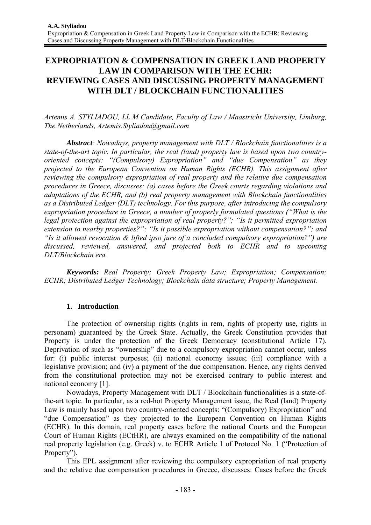# **EXPROPRIATION & COMPENSATION IN GREEK LAND PROPERTY LAW IN COMPARISON WITH THE ECHR: REVIEWING CASES AND DISCUSSING PROPERTY MANAGEMENT WITH DLT / BLOCKCHAIN FUNCTIONALITIES**

*Artemis A. STYLIADOU, LL.M Candidate, Faculty of Law / Maastricht University, Limburg, The Netherlands, Artemis.Styliadou@gmail.com* 

*Abstract: Nowadays, property management with DLT / Blockchain functionalities is a state-of-the-art topic. In particular, the real (land) property law is based upon two countryoriented concepts: "(Compulsory) Expropriation" and "due Compensation" as they projected to the European Convention on Human Rights (ECHR). This assignment after reviewing the compulsory expropriation of real property and the relative due compensation procedures in Greece, discusses: (a) cases before the Greek courts regarding violations and adaptations of the ECHR, and (b) real property management with Blockchain functionalities as a Distributed Ledger (DLT) technology. For this purpose, after introducing the compulsory expropriation procedure in Greece, a number of properly formulated questions ("What is the legal protection against the expropriation of real property?"; "Is it permitted expropriation extension to nearby properties?"; "Is it possible expropriation without compensation?"; and "Is it allowed revocation & lifted ipso jure of a concluded compulsory expropriation?") are discussed, reviewed, answered, and projected both to ECHR and to upcoming DLT/Blockchain era.*

*Keywords: Real Property; Greek Property Law; Expropriation; Compensation; ECHR; Distributed Ledger Technology; Blockchain data structure; Property Management.*

### **1. Introduction**

The protection of ownership rights (rights in rem, rights of property use, rights in personam) guaranteed by the Greek State. Actually, the Greek Constitution provides that Property is under the protection of the Greek Democracy (constitutional Article 17). Deprivation of such as "ownership" due to a compulsory expropriation cannot occur, unless for: (i) public interest purposes; (ii) national economy issues; (iii) compliance with a legislative provision; and (iv) a payment of the due compensation. Hence, any rights derived from the constitutional protection may not be exercised contrary to public interest and national economy [1].

Nowadays, Property Management with DLT / Blockchain functionalities is a state-ofthe-art topic. In particular, as a red-hot Property Management issue, the Real (land) Property Law is mainly based upon two country-oriented concepts: "(Compulsory) Expropriation" and "due Compensation" as they projected to the European Convention on Human Rights (ECHR). In this domain, real property cases before the national Courts and the European Court of Human Rights (ECtHR), are always examined on the compatibility of the national real property legislation (e.g. Greek) v. to ECHR Article 1 of Protocol No. 1 ("Protection of Property").

This EPL assignment after reviewing the compulsory expropriation of real property and the relative due compensation procedures in Greece, discusses: Cases before the Greek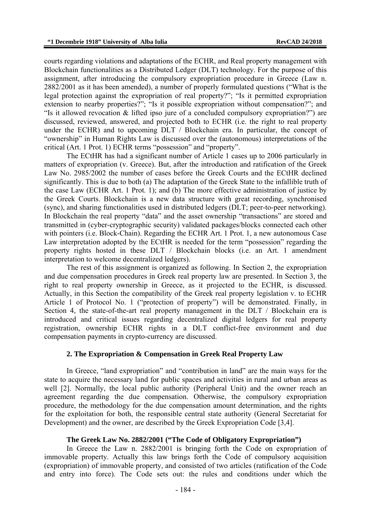courts regarding violations and adaptations of the ECHR, and Real property management with Blockchain functionalities as a Distributed Ledger (DLT) technology. For the purpose of this assignment, after introducing the compulsory expropriation procedure in Greece (Law n. 2882/2001 as it has been amended), a number of properly formulated questions ("What is the legal protection against the expropriation of real property?"; "Is it permitted expropriation extension to nearby properties?"; "Is it possible expropriation without compensation?"; and "Is it allowed revocation & lifted ipso jure of a concluded compulsory expropriation?") are discussed, reviewed, answered, and projected both to ECHR (i.e. the right to real property under the ECHR) and to upcoming DLT / Blockchain era. In particular, the concept of "ownership" in Human Rights Law is discussed over the (autonomous) interpretations of the critical (Art. 1 Prot. 1) ECHR terms "possession" and "property".

The ECtHR has had a significant number of Article 1 cases up to 2006 particularly in matters of expropriation (v. Greece). But, after the introduction and ratification of the Greek Law No. 2985/2002 the number of cases before the Greek Courts and the ECtHR declined significantly. This is due to both (a) The adaptation of the Greek State to the infallible truth of the case Law (ECHR Art. 1 Prot. 1); and (b) The more effective administration of justice by the Greek Courts. Blockchain is a new data structure with great recording, synchronised (sync), and sharing functionalities used in distributed ledgers (DLT; peer-to-peer networking). In Blockchain the real property "data" and the asset ownership "transactions" are stored and transmitted in (cyber-cryptographic security) validated packages/blocks connected each other with pointers (i.e. Block-Chain). Regarding the ECHR Art. 1 Prot. 1, a new autonomous Case Law interpretation adopted by the ECtHR is needed for the term "possession" regarding the property rights hosted in these DLT / Blockchain blocks (i.e. an Art. 1 amendment interpretation to welcome decentralized ledgers).

The rest of this assignment is organized as following. In Section 2, the expropriation and due compensation procedures in Greek real property law are presented. In Section 3, the right to real property ownership in Greece, as it projected to the ECHR, is discussed. Actually, in this Section the compatibility of the Greek real property legislation v. to ECHR Article 1 of Protocol No. 1 ("protection of property") will be demonstrated. Finally, in Section 4, the state-of-the-art real property management in the DLT / Blockchain era is introduced and critical issues regarding decentralized digital ledgers for real property registration, ownership ECHR rights in a DLT conflict-free environment and due compensation payments in crypto-currency are discussed.

#### **2. The Expropriation & Compensation in Greek Real Property Law**

In Greece, "land expropriation" and "contribution in land" are the main ways for the state to acquire the necessary land for public spaces and activities in rural and urban areas as well [2]. Normally, the local public authority (Peripheral Unit) and the owner reach an agreement regarding the due compensation. Otherwise, the compulsory expropriation procedure, the methodology for the due compensation amount determination, and the rights for the exploitation for both, the responsible central state authority (General Secretariat for Development) and the owner, are described by the Greek Expropriation Code [3,4].

#### **The Greek Law No. 2882/2001 ("The Code of Obligatory Expropriation")**

In Greece the Law n. 2882/2001 is bringing forth the Code on expropriation of immovable property. Actually this law brings forth the Code of compulsory acquisition (expropriation) of immovable property, and consisted of two articles (ratification of the Code and entry into force). The Code sets out: the rules and conditions under which the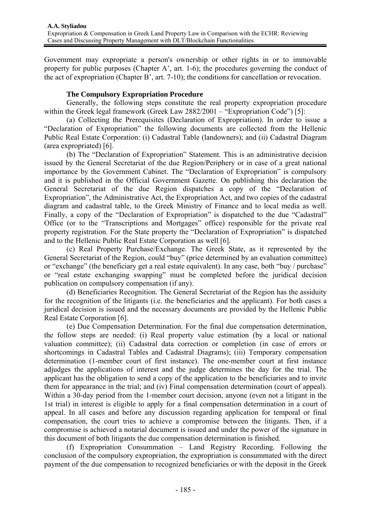Government may expropriate a person's ownership or other rights in or to immovable property for public purposes (Chapter A', art. 1-6); the procedures governing the conduct of the act of expropriation (Chapter B', art. 7-10); the conditions for cancellation or revocation.

### **The Compulsory Expropriation Procedure**

Generally, the following steps constitute the real property expropriation procedure within the Greek legal framework (Greek Law 2882/2001 – "Expropriation Code") [5]:

(a) Collecting the Prerequisites (Declaration of Expropriation). In order to issue a "Declaration of Expropriation" the following documents are collected from the Hellenic Public Real Estate Corporation: (i) Cadastral Table (landowners); and (ii) Cadastral Diagram (area expropriated) [6].

(b) The "Declaration of Expropriation" Statement. This is an administrative decision issued by the General Secretariat of the due Region/Periphery or in case of a great national importance by the Government Cabinet. The "Declaration of Expropriation" is compulsory and it is published in the Official Government Gazette. On publishing this declaration the General Secretariat of the due Region dispatches a copy of the "Declaration of Expropriation", the Administrative Act, the Expropriation Act, and two copies of the cadastral diagram and cadastral table, to the Greek Ministry of Finance and to local media as well. Finally, a copy of the "Declaration of Expropriation" is dispatched to the due "Cadastral" Office (or to the "Transcriptions and Mortgages" office) responsible for the private real property registration. For the State property the "Declaration of Expropriation" is dispatched and to the Hellenic Public Real Estate Corporation as well [6].

(c) Real Property Purchase/Exchange. The Greek State, as it represented by the General Secretariat of the Region, could "buy" (price determined by an evaluation committee) or "exchange" (the beneficiary get a real estate equivalent). In any case, both "buy / purchase" or "real estate exchanging swapping" must be completed before the juridical decision publication on compulsory compensation (if any).

(d) Beneficiaries Recognition. The General Secretariat of the Region has the assiduity for the recognition of the litigants (i.e. the beneficiaries and the applicant). For both cases a juridical decision is issued and the necessary documents are provided by the Hellenic Public Real Estate Corporation [6].

(e) Due Compensation Determination. For the final due compensation determination, the follow steps are needed: (i) Real property value estimation (by a local or national valuation committee); (ii) Cadastral data correction or completion (in case of errors or shortcomings in Cadastral Tables and Cadastral Diagrams); (iii) Temporary compensation determination (1-member court of first instance). The one-member court at first instance adjudges the applications of interest and the judge determines the day for the trial. The applicant has the obligation to send a copy of the application to the beneficiaries and to invite them for appearance in the trial; and (iv) Final compensation determination (court of appeal). Within a 30-day period from the 1-member court decision, anyone (even not a litigant in the 1st trial) in interest is eligible to apply for a final compensation determination in a court of appeal. In all cases and before any discussion regarding application for temporal or final compensation, the court tries to achieve a compromise between the litigants. Then, if a compromise is achieved a notarial document is issued and under the power of the signature in this document of both litigants the due compensation determination is finished.

(f) Expropriation Consummation – Land Registry Recording. Following the conclusion of the compulsory expropriation, the expropriation is consummated with the direct payment of the due compensation to recognized beneficiaries or with the deposit in the Greek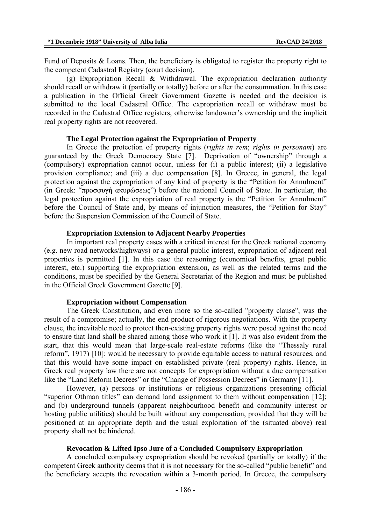Fund of Deposits & Loans. Then, the beneficiary is obligated to register the property right to the competent Cadastral Registry (court decision).

(g) Expropriation Recall & Withdrawal. The expropriation declaration authority should recall or withdraw it (partially or totally) before or after the consummation. In this case a publication in the Official Greek Government Gazette is needed and the decision is submitted to the local Cadastral Office. The expropriation recall or withdraw must be recorded in the Cadastral Office registers, otherwise landowner's ownership and the implicit real property rights are not recovered.

#### **The Legal Protection against the Expropriation of Property**

In Greece the protection of property rights (*rights in rem*; *rights in personam*) are guaranteed by the Greek Democracy State [7]. Deprivation of "ownership" through a (compulsory) expropriation cannot occur, unless for (i) a public interest; (ii) a legislative provision compliance; and (iii) a due compensation [8]. In Greece, in general, the legal protection against the expropriation of any kind of property is the "Petition for Annulment" (in Greek: "προσφυγή ακυρώσεως") before the national Council of State. In particular, the legal protection against the expropriation of real property is the "Petition for Annulment" before the Council of State and, by means of injunction measures, the "Petition for Stay" before the Suspension Commission of the Council of State.

#### **Expropriation Extension to Adjacent Nearby Properties**

In important real property cases with a critical interest for the Greek national economy (e.g. new road networks/highways) or a general public interest, expropriation of adjacent real properties is permitted [1]. In this case the reasoning (economical benefits, great public interest, etc.) supporting the expropriation extension, as well as the related terms and the conditions, must be specified by the General Secretariat of the Region and must be published in the Official Greek Government Gazette [9].

#### **Expropriation without Compensation**

The Greek Constitution, and even more so the so-called "property clause", was the result of a compromise; actually, the end product of rigorous negotiations. With the property clause, the inevitable need to protect then-existing property rights were posed against the need to ensure that land shall be shared among those who work it [1]. It was also evident from the start, that this would mean that large-scale real-estate reforms (like the "Thessaly rural reform", 1917) [10]; would be necessary to provide equitable access to natural resources, and that this would have some impact on established private (real property) rights. Hence, in Greek real property law there are not concepts for expropriation without a due compensation like the "Land Reform Decrees" or the "Change of Possession Decrees" in Germany [11].

However, (a) persons or institutions or religious organizations presenting official "superior Othman titles" can demand land assignment to them without compensation [12]; and (b) underground tunnels (apparent neighbourhood benefit and community interest or hosting public utilities) should be built without any compensation, provided that they will be positioned at an appropriate depth and the usual exploitation of the (situated above) real property shall not be hindered.

### **Revocation & Lifted Ipso Jure of a Concluded Compulsory Expropriation**

A concluded compulsory expropriation should be revoked (partially or totally) if the competent Greek authority deems that it is not necessary for the so-called "public benefit" and the beneficiary accepts the revocation within a 3-month period. In Greece, the compulsory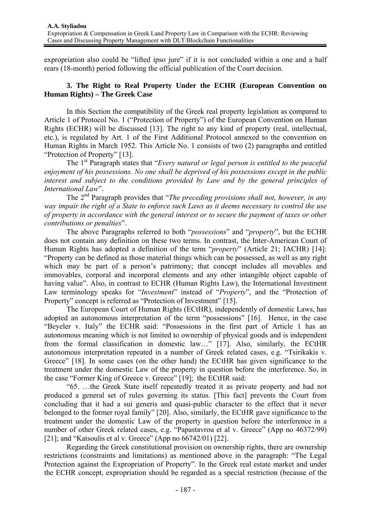expropriation also could be "lifted ipso jure" if it is not concluded within a one and a half rears (18-month) period following the official publication of the Court decision.

### **3. The Right to Real Property Under the ECHR (European Convention on Human Rights) – The Greek Case**

In this Section the compatibility of the Greek real property legislation as compared to Article 1 of Protocol No. 1 ("Protection of Property") of the European Convention on Human Rights (ECHR) will be discussed [13]. The right to any kind of property (real, intellectual, etc.), is regulated by Art. 1 of the First Additional Protocol annexed to the convention on Human Rights in March 1952. This Article No. 1 consists of two (2) paragraphs and entitled "Protection of Property" [13].

The 1<sup>st</sup> Paragraph states that "*Every natural or legal person is entitled to the peaceful enjoyment of his possessions. No one shall be deprived of his possessions except in the public interest and subject to the conditions provided by Law and by the general principles of International Law*".

The 2nd Paragraph provides that "*The preceding provisions shall not, however, in any way impair the right of a State to enforce such Laws as it deems necessary to control the use of property in accordance with the general interest or to secure the payment of taxes or other contributions or penalties*".

The above Paragraphs referred to both "*possessions*" and "*property*", but the ECHR does not contain any definition on these two terms. In contrast, the Inter-American Court of Human Rights has adopted a definition of the term "*property*" (Article 21; IACHR) [14]: "Property can be defined as those material things which can be possessed, as well as any right which may be part of a person's patrimony; that concept includes all movables and immovables, corporal and incorporal elements and any other intangible object capable of having value". Also, in contrast to ECHR (Human Rights Law), the International Investment Law terminology speaks for "*Investment*" instead of "*Property*", and the "Protection of Property" concept is referred as "Protection of Investment" [15].

The European Court of Human Rights (ECtHR), independently of domestic Laws, has adopted an autonomous interpretation of the term "possessions" [16]. Hence, in the case "Beyeler v. Italy" the ECHR said: "Possessions in the first part of Article 1 has an autonomous meaning which is not limited to ownership of physical goods and is independent from the formal classification in domestic law..." [17]. Also, similarly, the ECtHR autonomous interpretation repeated in a number of Greek related cases, e.g. "Tsirikakis v. Greece" [18]. In some cases (on the other hand) the ECtHR has given significance to the treatment under the domestic Law of the property in question before the interference. So, in the case "Former King of Greece v. Greece" [19]; the ECtHR said:

"65. …the Greek State itself repeatedly treated it as private property and had not produced a general set of rules governing its status. [This fact] prevents the Court from concluding that it had a sui generis and quasi-public character to the effect that it never belonged to the former royal family" [20]. Also, similarly, the ECtHR gave significance to the treatment under the domestic Law of the property in question before the interference in a number of other Greek related cases, e.g. "Papastavrou et al v. Greece" (App no 46372/99) [21]; and "Katsoulis et al v. Greece" (App no 66742/01) [22].

Regarding the Greek constitutional provision on ownership rights, there are ownership restrictions (constraints and limitations) as mentioned above in the paragraph: "The Legal Protection against the Expropriation of Property". In the Greek real estate market and under the ECHR concept, expropriation should be regarded as a special restriction (because of the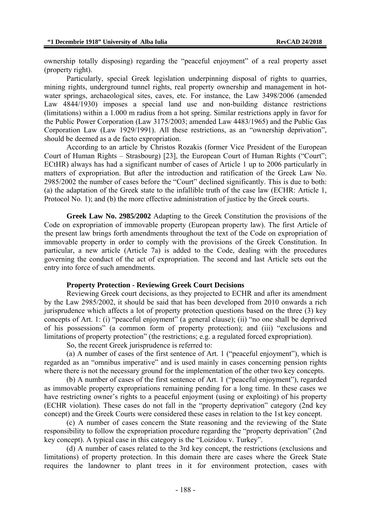ownership totally disposing) regarding the "peaceful enjoyment" of a real property asset (property right).

Particularly, special Greek legislation underpinning disposal of rights to quarries, mining rights, underground tunnel rights, real property ownership and management in hotwater springs, archaeological sites, caves, etc. For instance, the Law 3498/2006 (amended Law 4844/1930) imposes a special land use and non-building distance restrictions (limitations) within a 1.000 m radius from a hot spring. Similar restrictions apply in favor for the Public Power Corporation (Law 3175/2003; amended Law 4483/1965) and the Public Gas Corporation Law (Law 1929/1991). All these restrictions, as an "ownership deprivation", should be deemed as a de facto expropriation.

According to an article by Christos Rozakis (former Vice President of the European Court of Human Rights – Strasbourg) [23], the European Court of Human Rights ("Court"; ECtHR) always has had a significant number of cases of Article 1 up to 2006 particularly in matters of expropriation. But after the introduction and ratification of the Greek Law No. 2985/2002 the number of cases before the "Court" declined significantly. This is due to both: (a) the adaptation of the Greek state to the infallible truth of the case law (ECHR: Article 1, Protocol No. 1); and (b) the more effective administration of justice by the Greek courts.

**Greek Law No. 2985/2002** Adapting to the Greek Constitution the provisions of the Code on expropriation of immovable property (European property law). The first Article of the present law brings forth amendments throughout the text of the Code on expropriation of immovable property in order to comply with the provisions of the Greek Constitution. In particular, a new article (Article 7a) is added to the Code, dealing with the procedures governing the conduct of the act of expropriation. The second and last Article sets out the entry into force of such amendments.

#### **Property Protection - Reviewing Greek Court Decisions**

Reviewing Greek court decisions, as they projected to ECHR and after its amendment by the Law 2985/2002, it should be said that has been developed from 2010 onwards a rich jurisprudence which affects a lot of property protection questions based on the three (3) key concepts of Art. 1: (i) "peaceful enjoyment" (a general clause); (ii) "no one shall be deprived of his possessions" (a common form of property protection); and (iii) "exclusions and limitations of property protection" (the restrictions; e.g. a regulated forced expropriation).

So, the recent Greek jurisprudence is referred to:

(a) A number of cases of the first sentence of Art. 1 ("peaceful enjoyment"), which is regarded as an "omnibus imperative" and is used mainly in cases concerning pension rights where there is not the necessary ground for the implementation of the other two key concepts.

(b) A number of cases of the first sentence of Art. 1 ("peaceful enjoyment"), regarded as immovable property expropriations remaining pending for a long time. In these cases we have restricting owner's rights to a peaceful enjoyment (using or exploiting) of his property (ECHR violation). These cases do not fall in the "property deprivation" category (2nd key concept) and the Greek Courts were considered these cases in relation to the 1st key concept.

(c) A number of cases concern the State reasoning and the reviewing of the State responsibility to follow the expropriation procedure regarding the "property deprivation" (2nd key concept). A typical case in this category is the "Loizidou v. Turkey".

(d) A number of cases related to the 3rd key concept, the restrictions (exclusions and limitations) of property protection. In this domain there are cases where the Greek State requires the landowner to plant trees in it for environment protection, cases with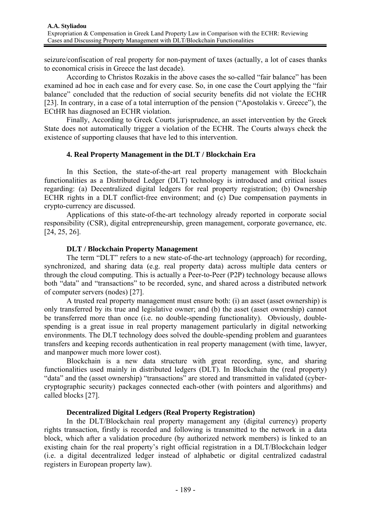seizure/confiscation of real property for non-payment of taxes (actually, a lot of cases thanks to economical crisis in Greece the last decade).

According to Christos Rozakis in the above cases the so-called "fair balance" has been examined ad hoc in each case and for every case. So, in one case the Court applying the "fair balance" concluded that the reduction of social security benefits did not violate the ECHR [23]. In contrary, in a case of a total interruption of the pension ("Apostolakis v. Greece"), the ECtHR has diagnosed an ECHR violation.

Finally, According to Greek Courts jurisprudence, an asset intervention by the Greek State does not automatically trigger a violation of the ECHR. The Courts always check the existence of supporting clauses that have led to this intervention.

### **4. Real Property Management in the DLT / Blockchain Era**

In this Section, the state-of-the-art real property management with Blockchain functionalities as a Distributed Ledger (DLT) technology is introduced and critical issues regarding: (a) Decentralized digital ledgers for real property registration; (b) Ownership ECHR rights in a DLT conflict-free environment; and (c) Due compensation payments in crypto-currency are discussed.

Applications of this state-of-the-art technology already reported in corporate social responsibility (CSR), digital entrepreneurship, green management, corporate governance, etc. [24, 25, 26].

### **DLT / Blockchain Property Management**

The term "DLT" refers to a new state-of-the-art technology (approach) for recording, synchronized, and sharing data (e.g. real property data) across multiple data centers or through the cloud computing. This is actually a Peer-to-Peer (P2P) technology because allows both "data" and "transactions" to be recorded, sync, and shared across a distributed network of computer servers (nodes) [27].

A trusted real property management must ensure both: (i) an asset (asset ownership) is only transferred by its true and legislative owner; and (b) the asset (asset ownership) cannot be transferred more than once (i.e. no double-spending functionality). Obviously, doublespending is a great issue in real property management particularly in digital networking environments. The DLT technology does solved the double-spending problem and guarantees transfers and keeping records authentication in real property management (with time, lawyer, and manpower much more lower cost).

Blockchain is a new data structure with great recording, sync, and sharing functionalities used mainly in distributed ledgers (DLT). In Blockchain the (real property) "data" and the (asset ownership) "transactions" are stored and transmitted in validated (cybercryptographic security) packages connected each-other (with pointers and algorithms) and called blocks [27].

### **Decentralized Digital Ledgers (Real Property Registration)**

In the DLT/Blockchain real property management any (digital currency) property rights transaction, firstly is recorded and following is transmitted to the network in a data block, which after a validation procedure (by authorized network members) is linked to an existing chain for the real property's right official registration in a DLT/Blockchain ledger (i.e. a digital decentralized ledger instead of alphabetic or digital centralized cadastral registers in European property law).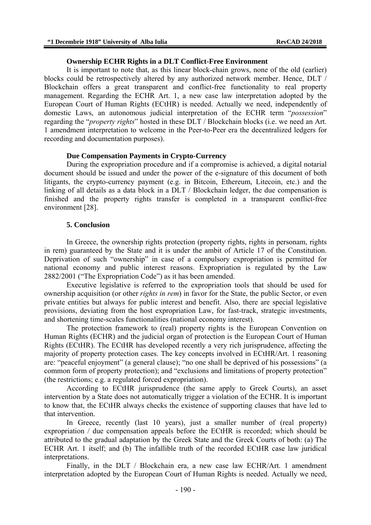#### **Ownership ECHR Rights in a DLT Conflict-Free Environment**

It is important to note that, as this linear block-chain grows, none of the old (earlier) blocks could be retrospectively altered by any authorized network member. Hence, DLT / Blockchain offers a great transparent and conflict-free functionality to real property management. Regarding the ECHR Art. 1, a new case law interpretation adopted by the European Court of Human Rights (ECtHR) is needed. Actually we need, independently of domestic Laws, an autonomous judicial interpretation of the ECHR term "*possession*" regarding the "*property rights*" hosted in these DLT / Blockchain blocks (i.e. we need an Art. 1 amendment interpretation to welcome in the Peer-to-Peer era the decentralized ledgers for recording and documentation purposes).

#### **Due Compensation Payments in Crypto-Currency**

During the expropriation procedure and if a compromise is achieved, a digital notarial document should be issued and under the power of the e-signature of this document of both litigants, the crypto-currency payment (e.g. in Bitcoin, Ethereum, Litecoin, etc.) and the linking of all details as a data block in a DLT / Blockchain ledger, the due compensation is finished and the property rights transfer is completed in a transparent conflict-free environment [28].

#### **5. Conclusion**

In Greece, the ownership rights protection (property rights, rights in personam, rights in rem) guaranteed by the State and it is under the ambit of Article 17 of the Constitution. Deprivation of such "ownership" in case of a compulsory expropriation is permitted for national economy and public interest reasons. Expropriation is regulated by the Law 2882/2001 ("The Expropriation Code") as it has been amended.

Executive legislative is referred to the expropriation tools that should be used for ownership acquisition (or other *rights in rem*) in favor for the State, the public Sector, or even private entities but always for public interest and benefit. Also, there are special legislative provisions, deviating from the host expropriation Law, for fast-track, strategic investments, and shortening time-scales functionalities (national economy interest).

The protection framework to (real) property rights is the European Convention on Human Rights (ECHR) and the judicial organ of protection is the European Court of Human Rights (ECtHR). The ECtHR has developed recently a very rich jurisprudence, affecting the majority of property protection cases. The key concepts involved in ECtHR/Art. 1 reasoning are: "peaceful enjoyment" (a general clause); "no one shall be deprived of his possessions" (a common form of property protection); and "exclusions and limitations of property protection" (the restrictions; e.g. a regulated forced expropriation).

According to ECtHR jurisprudence (the same apply to Greek Courts), an asset intervention by a State does not automatically trigger a violation of the ECHR. It is important to know that, the ECtHR always checks the existence of supporting clauses that have led to that intervention.

In Greece, recently (last 10 years), just a smaller number of (real property) expropriation / due compensation appeals before the ECtHR is recorded; which should be attributed to the gradual adaptation by the Greek State and the Greek Courts of both: (a) The ECHR Art. 1 itself; and (b) The infallible truth of the recorded ECtHR case law juridical interpretations.

Finally, in the DLT / Blockchain era, a new case law ECHR/Art. 1 amendment interpretation adopted by the European Court of Human Rights is needed. Actually we need,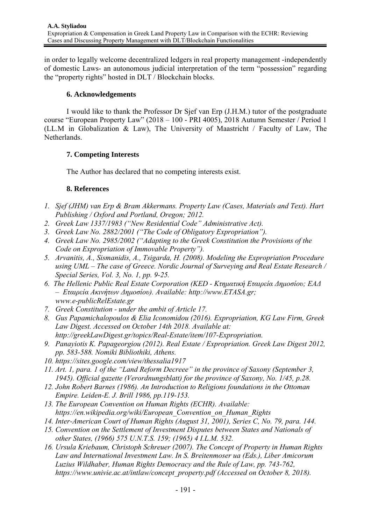in order to legally welcome decentralized ledgers in real property management -independently of domestic Laws- an autonomous judicial interpretation of the term "possession" regarding the "property rights" hosted in DLT / Blockchain blocks.

## **6. Acknowledgements**

I would like to thank the Professor Dr Sjef van Erp (J.H.M.) tutor of the postgraduate course "European Property Law" (2018 – 100 - PRI 4005), 2018 Autumn Semester / Period 1 (LL.M in Globalization & Law), The University of Maastricht / Faculty of Law, The Netherlands.

## **7. Competing Interests**

The Author has declared that no competing interests exist.

## **8. References**

- *1. Sjef (JHM) van Erp & Bram Akkermans. Property Law (Cases, Materials and Text). Hart Publishing / Oxford and Portland, Oregon; 2012.*
- *2. Greek Law 1337/1983 ("New Residential Code" Administrative Act).*
- *3. Greek Law No. 2882/2001 ("The Code of Obligatory Expropriation").*
- *4. Greek Law No. 2985/2002 ("Adapting to the Greek Constitution the Provisions of the Code on Expropriation of Immovable Property").*
- *5. Arvanitis, A., Sismanidis, A., Tsigarda, H. (2008). Modeling the Expropriation Procedure using UML – The case of Greece. Nordic Journal of Surveying and Real Estate Research / Special Series, Vol. 3, No. 1, pp. 9-25.*
- *6. The Hellenic Public Real Estate Corporation (KED Κτηματική Εταιρεία Δημοσίου; ΕΑΔ – Εταιρεία Ακινήτων Δημοσίου). Available: http://www.ETASA.gr; www.e-publicRelEstate.gr*
- *7. Greek Constitution under the ambit of Article 17.*
- *8. Gus Papamichalopoulos & Elia Iconomidou (2016). Expropriation, KG Law Firm, Greek Law Digest. Accessed on October 14th 2018. Available at: http://greekLawDigest.gr/topics/Real-Estate/item/107-Expropriation.*
- *9. Panayiotis K. Papageorgiou (2012). Real Estate / Expropriation. Greek Law Digest 2012, pp. 583-588. Nomiki Bibliothiki, Athens.*
- *10. https://sites.google.com/view/thessalia1917*
- *11. Art. 1, para. 1 of the "Land Reform Decreee" in the province of Saxony (September 3, 1945). Official gazette (Verordnungsblatt) for the province of Saxony, No. 1/45, p.28.*
- *12. John Robert Barnes (1986). An Introduction to Religions foundations in the Ottoman Empire. Leiden-E. J. Brill 1986, pp.119-153.*
- *13. The European Convention on Human Rights (ECHR). Available: https://en.wikipedia.org/wiki/European\_Convention\_on\_Human\_Rights*
- *14. Inter-American Court of Human Rights (August 31, 2001), Series C, No. 79, para. 144.*
- *15. Convention on the Settlement of Investment Disputes between States and Nationals of other States, (1966) 575 U.N.T.S. 159; (1965) 4 I.L.M. 532.*
- *16. Ursula Kriebaum, Christoph Schreuer (2007). The Concept of Property in Human Rights Law and International Investment Law. In S. Breitenmoser ua (Eds.), Liber Amicorum Luzius Wildhaber, Human Rights Democracy and the Rule of Law, pp. 743-762, https://www.univie.ac.at/intlaw/concept\_property.pdf (Accessed on October 8, 2018).*